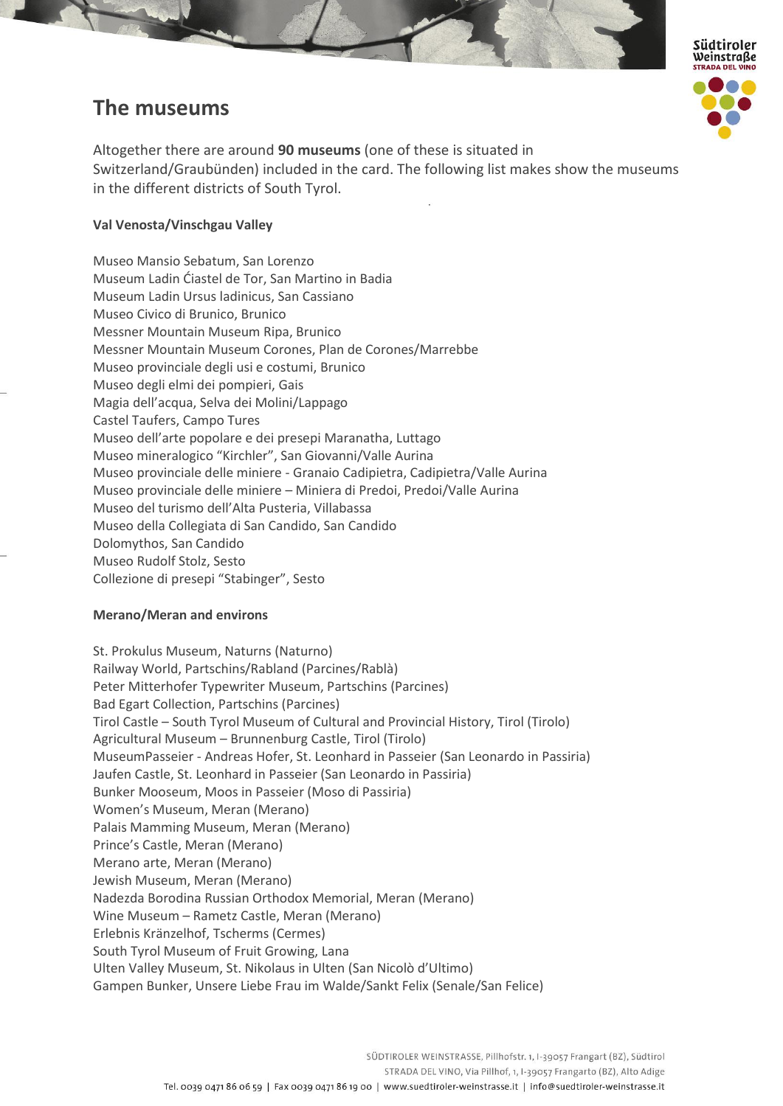# **The museums**



Altogether there are around **90 museums** (one of these is situated in Switzerland/Graubünden) included in the card. The following list makes show the museums in the different districts of South Tyrol.

## **Val Venosta/Vinschgau Valley**

Museo Mansio Sebatum, San Lorenzo Museum Ladin Ćiastel de Tor, San Martino in Badia Museum Ladin Ursus ladinicus, San Cassiano Museo Civico di Brunico, Brunico Messner Mountain Museum Ripa, Brunico Messner Mountain Museum Corones, Plan de Corones/Marrebbe Museo provinciale degli usi e costumi, Brunico Museo degli elmi dei pompieri, Gais Magia dell'acqua, Selva dei Molini/Lappago Castel Taufers, Campo Tures Museo dell'arte popolare e dei presepi Maranatha, Luttago Museo mineralogico "Kirchler", San Giovanni/Valle Aurina Museo provinciale delle miniere - Granaio Cadipietra, Cadipietra/Valle Aurina Museo provinciale delle miniere – Miniera di Predoi, Predoi/Valle Aurina Museo del turismo dell'Alta Pusteria, Villabassa Museo della Collegiata di San Candido, San Candido Dolomythos, San Candido Museo Rudolf Stolz, Sesto Collezione di presepi "Stabinger", Sesto

## **Merano/Meran and environs**

St. Prokulus Museum, Naturns (Naturno) Railway World, Partschins/Rabland (Parcines/Rablà) Peter Mitterhofer Typewriter Museum, Partschins (Parcines) Bad Egart Collection, Partschins (Parcines) Tirol Castle – South Tyrol Museum of Cultural and Provincial History, Tirol (Tirolo) Agricultural Museum – Brunnenburg Castle, Tirol (Tirolo) MuseumPasseier - Andreas Hofer, St. Leonhard in Passeier (San Leonardo in Passiria) Jaufen Castle, St. Leonhard in Passeier (San Leonardo in Passiria) Bunker Mooseum, Moos in Passeier (Moso di Passiria) Women's Museum, Meran (Merano) Palais Mamming Museum, Meran (Merano) Prince's Castle, Meran (Merano) Merano arte, Meran (Merano) Jewish Museum, Meran (Merano) Nadezda Borodina Russian Orthodox Memorial, Meran (Merano) Wine Museum – Rametz Castle, Meran (Merano) Erlebnis Kränzelhof, Tscherms (Cermes) South Tyrol Museum of Fruit Growing, Lana Ulten Valley Museum, St. Nikolaus in Ulten (San Nicolò d'Ultimo) Gampen Bunker, Unsere Liebe Frau im Walde/Sankt Felix (Senale/San Felice)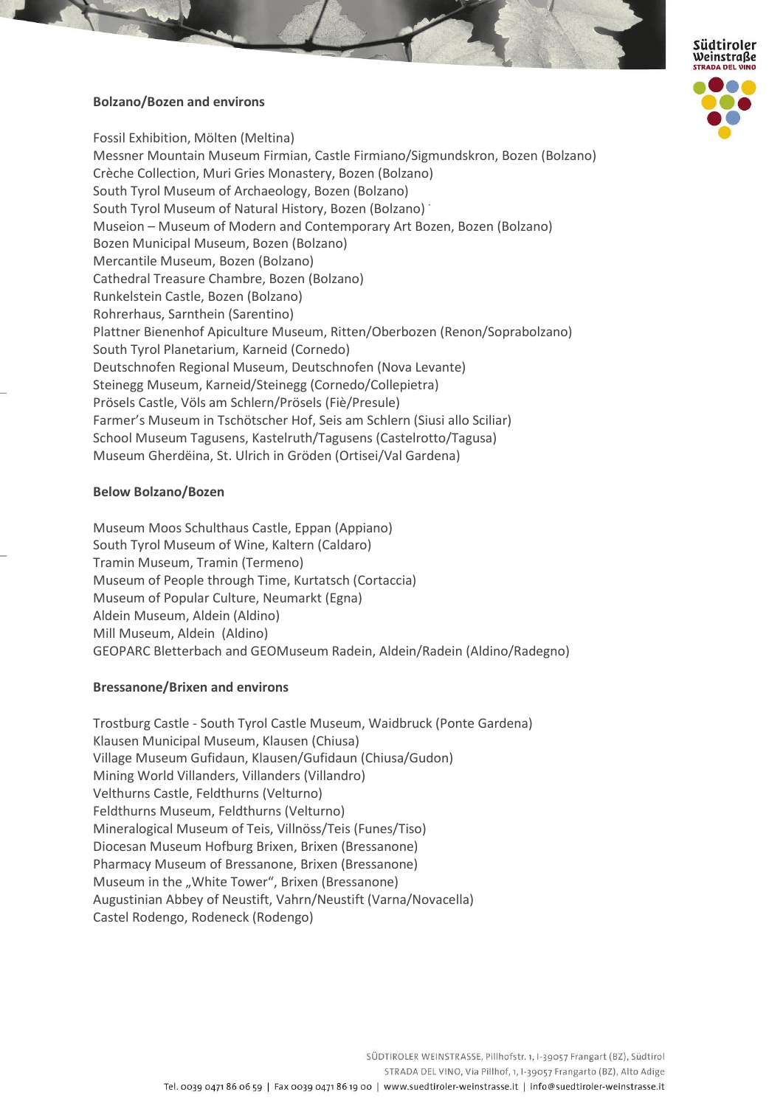

## **Bolzano/Bozen and environs**

Fossil Exhibition, Mölten (Meltina) Messner Mountain Museum Firmian, Castle Firmiano/Sigmundskron, Bozen (Bolzano) Crèche Collection, Muri Gries Monastery, Bozen (Bolzano) South Tyrol Museum of Archaeology, Bozen (Bolzano) South Tyrol Museum of Natural History, Bozen (Bolzano) Museion – Museum of Modern and Contemporary Art Bozen, Bozen (Bolzano) Bozen Municipal Museum, Bozen (Bolzano) Mercantile Museum, Bozen (Bolzano) Cathedral Treasure Chambre, Bozen (Bolzano) Runkelstein Castle, Bozen (Bolzano) Rohrerhaus, Sarnthein (Sarentino) Plattner Bienenhof Apiculture Museum, Ritten/Oberbozen (Renon/Soprabolzano) South Tyrol Planetarium, Karneid (Cornedo) Deutschnofen Regional Museum, Deutschnofen (Nova Levante) Steinegg Museum, Karneid/Steinegg (Cornedo/Collepietra) Prösels Castle, Völs am Schlern/Prösels (Fiè/Presule) Farmer's Museum in Tschötscher Hof, Seis am Schlern (Siusi allo Sciliar) School Museum Tagusens, Kastelruth/Tagusens (Castelrotto/Tagusa) Museum Gherdëina, St. Ulrich in Gröden (Ortisei/Val Gardena)

#### **Below Bolzano/Bozen**

Museum Moos Schulthaus Castle, Eppan (Appiano) South Tyrol Museum of Wine, Kaltern (Caldaro) Tramin Museum, Tramin (Termeno) Museum of People through Time, Kurtatsch (Cortaccia) Museum of Popular Culture, Neumarkt (Egna) Aldein Museum, Aldein (Aldino) Mill Museum, Aldein (Aldino) GEOPARC Bletterbach and GEOMuseum Radein, Aldein/Radein (Aldino/Radegno)

#### **Bressanone/Brixen and environs**

Trostburg Castle - South Tyrol Castle Museum, Waidbruck (Ponte Gardena) Klausen Municipal Museum, Klausen (Chiusa) Village Museum Gufidaun, Klausen/Gufidaun (Chiusa/Gudon) Mining World Villanders, Villanders (Villandro) Velthurns Castle, Feldthurns (Velturno) Feldthurns Museum, Feldthurns (Velturno) Mineralogical Museum of Teis, Villnöss/Teis (Funes/Tiso) Diocesan Museum Hofburg Brixen, Brixen (Bressanone) Pharmacy Museum of Bressanone, Brixen (Bressanone) Museum in the "White Tower", Brixen (Bressanone) Augustinian Abbey of Neustift, Vahrn/Neustift (Varna/Novacella) Castel Rodengo, Rodeneck (Rodengo)